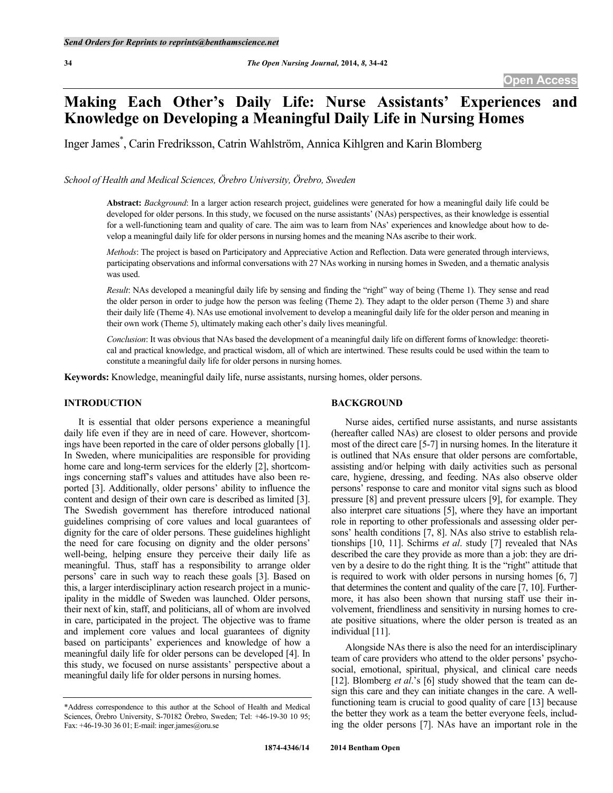# **Making Each Other's Daily Life: Nurse Assistants' Experiences and Knowledge on Developing a Meaningful Daily Life in Nursing Homes**

Inger James\* , Carin Fredriksson, Catrin Wahlström, Annica Kihlgren and Karin Blomberg

*School of Health and Medical Sciences, Örebro University, Örebro, Sweden*

**Abstract:** *Background*: In a larger action research project, guidelines were generated for how a meaningful daily life could be developed for older persons. In this study, we focused on the nurse assistants' (NAs) perspectives, as their knowledge is essential for a well-functioning team and quality of care. The aim was to learn from NAs' experiences and knowledge about how to develop a meaningful daily life for older persons in nursing homes and the meaning NAs ascribe to their work.

*Methods*: The project is based on Participatory and Appreciative Action and Reflection. Data were generated through interviews, participating observations and informal conversations with 27 NAs working in nursing homes in Sweden, and a thematic analysis was used.

*Result*: NAs developed a meaningful daily life by sensing and finding the "right" way of being (Theme 1). They sense and read the older person in order to judge how the person was feeling (Theme 2). They adapt to the older person (Theme 3) and share their daily life (Theme 4). NAs use emotional involvement to develop a meaningful daily life for the older person and meaning in their own work (Theme 5), ultimately making each other's daily lives meaningful.

*Conclusion*: It was obvious that NAs based the development of a meaningful daily life on different forms of knowledge: theoretical and practical knowledge, and practical wisdom, all of which are intertwined. These results could be used within the team to constitute a meaningful daily life for older persons in nursing homes.

**Keywords:** Knowledge, meaningful daily life, nurse assistants, nursing homes, older persons.

### **INTRODUCTION**

It is essential that older persons experience a meaningful daily life even if they are in need of care. However, shortcomings have been reported in the care of older persons globally [1]. In Sweden, where municipalities are responsible for providing home care and long-term services for the elderly [2], shortcomings concerning staff's values and attitudes have also been reported [3]. Additionally, older persons' ability to influence the content and design of their own care is described as limited [3]. The Swedish government has therefore introduced national guidelines comprising of core values and local guarantees of dignity for the care of older persons. These guidelines highlight the need for care focusing on dignity and the older persons' well-being, helping ensure they perceive their daily life as meaningful. Thus, staff has a responsibility to arrange older persons' care in such way to reach these goals [3]. Based on this, a larger interdisciplinary action research project in a municipality in the middle of Sweden was launched. Older persons, their next of kin, staff, and politicians, all of whom are involved in care, participated in the project. The objective was to frame and implement core values and local guarantees of dignity based on participants' experiences and knowledge of how a meaningful daily life for older persons can be developed [4]. In this study, we focused on nurse assistants' perspective about a meaningful daily life for older persons in nursing homes.

## **BACKGROUND**

Nurse aides, certified nurse assistants, and nurse assistants (hereafter called NAs) are closest to older persons and provide most of the direct care [5-7] in nursing homes. In the literature it is outlined that NAs ensure that older persons are comfortable, assisting and/or helping with daily activities such as personal care, hygiene, dressing, and feeding. NAs also observe older persons' response to care and monitor vital signs such as blood pressure [8] and prevent pressure ulcers [9], for example. They also interpret care situations [5], where they have an important role in reporting to other professionals and assessing older persons' health conditions [7, 8]. NAs also strive to establish relationships [10, 11]. Schirms *et al*. study [7] revealed that NAs described the care they provide as more than a job: they are driven by a desire to do the right thing*.* It is the "right" attitude that is required to work with older persons in nursing homes [6, 7] that determines the content and quality of the care [7, 10]. Furthermore, it has also been shown that nursing staff use their involvement, friendliness and sensitivity in nursing homes to create positive situations, where the older person is treated as an individual [11].

Alongside NAs there is also the need for an interdisciplinary team of care providers who attend to the older persons' psychosocial, emotional, spiritual, physical, and clinical care needs [12]. Blomberg *et al.*'s [6] study showed that the team can design this care and they can initiate changes in the care. A wellfunctioning team is crucial to good quality of care [13] because the better they work as a team the better everyone feels, including the older persons [7]. NAs have an important role in the

<sup>\*</sup>Address correspondence to this author at the School of Health and Medical Sciences, Örebro University, S-70182 Örebro, Sweden; Tel: +46-19-30 10 95; Fax: +46-19-30 36 01; E-mail: inger.james@oru.se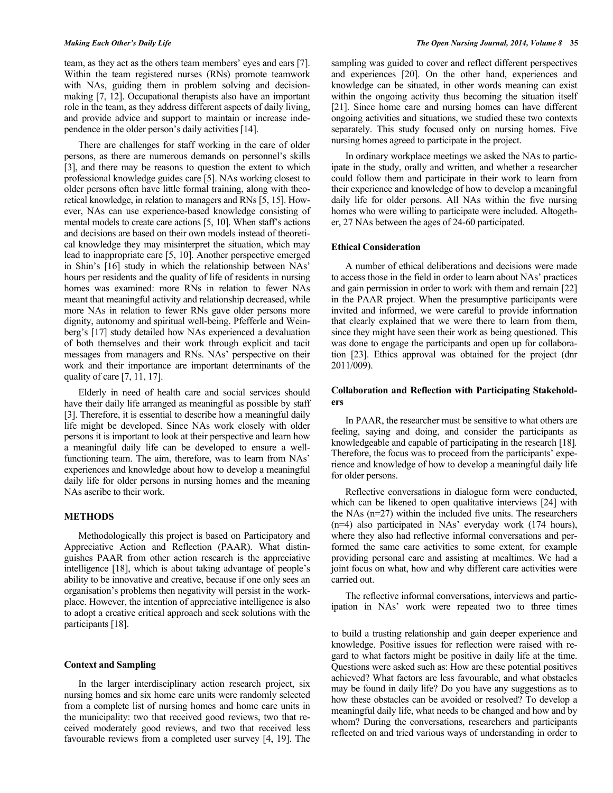team, as they act as the others team members' eyes and ears [7]. Within the team registered nurses (RNs) promote teamwork with NAs, guiding them in problem solving and decisionmaking [7, 12]. Occupational therapists also have an important role in the team, as they address different aspects of daily living, and provide advice and support to maintain or increase independence in the older person's daily activities [14].

There are challenges for staff working in the care of older persons, as there are numerous demands on personnel's skills [3], and there may be reasons to question the extent to which professional knowledge guides care [5]. NAs working closest to older persons often have little formal training, along with theoretical knowledge, in relation to managers and RNs [5, 15]. However, NAs can use experience-based knowledge consisting of mental models to create care actions [5, 10]. When staff's actions and decisions are based on their own models instead of theoretical knowledge they may misinterpret the situation, which may lead to inappropriate care [5, 10]. Another perspective emerged in Shin's [16] study in which the relationship between NAs' hours per residents and the quality of life of residents in nursing homes was examined: more RNs in relation to fewer NAs meant that meaningful activity and relationship decreased, while more NAs in relation to fewer RNs gave older persons more dignity, autonomy and spiritual well-being. Pfefferle and Weinberg's [17] study detailed how NAs experienced a devaluation of both themselves and their work through explicit and tacit messages from managers and RNs. NAs' perspective on their work and their importance are important determinants of the quality of care [7, 11, 17].

Elderly in need of health care and social services should have their daily life arranged as meaningful as possible by staff [3]. Therefore, it is essential to describe how a meaningful daily life might be developed. Since NAs work closely with older persons it is important to look at their perspective and learn how a meaningful daily life can be developed to ensure a wellfunctioning team. The aim, therefore, was to learn from NAs' experiences and knowledge about how to develop a meaningful daily life for older persons in nursing homes and the meaning NAs ascribe to their work.

#### **METHODS**

Methodologically this project is based on Participatory and Appreciative Action and Reflection (PAAR). What distinguishes PAAR from other action research is the appreciative intelligence [18], which is about taking advantage of people's ability to be innovative and creative, because if one only sees an organisation's problems then negativity will persist in the workplace. However, the intention of appreciative intelligence is also to adopt a creative critical approach and seek solutions with the participants [18].

### **Context and Sampling**

In the larger interdisciplinary action research project, six nursing homes and six home care units were randomly selected from a complete list of nursing homes and home care units in the municipality: two that received good reviews, two that received moderately good reviews, and two that received less favourable reviews from a completed user survey [4, 19]. The

sampling was guided to cover and reflect different perspectives and experiences [20]. On the other hand, experiences and knowledge can be situated, in other words meaning can exist within the ongoing activity thus becoming the situation itself [21]. Since home care and nursing homes can have different ongoing activities and situations, we studied these two contexts separately. This study focused only on nursing homes. Five nursing homes agreed to participate in the project.

In ordinary workplace meetings we asked the NAs to participate in the study, orally and written, and whether a researcher could follow them and participate in their work to learn from their experience and knowledge of how to develop a meaningful daily life for older persons. All NAs within the five nursing homes who were willing to participate were included. Altogether, 27 NAs between the ages of 24-60 participated.

#### **Ethical Consideration**

A number of ethical deliberations and decisions were made to access those in the field in order to learn about NAs' practices and gain permission in order to work with them and remain [22] in the PAAR project. When the presumptive participants were invited and informed, we were careful to provide information that clearly explained that we were there to learn from them, since they might have seen their work as being questioned. This was done to engage the participants and open up for collaboration [23]. Ethics approval was obtained for the project (dnr 2011/009).

### **Collaboration and Reflection with Participating Stakeholders**

In PAAR, the researcher must be sensitive to what others are feeling, saying and doing, and consider the participants as knowledgeable and capable of participating in the research [18]*.*  Therefore, the focus was to proceed from the participants' experience and knowledge of how to develop a meaningful daily life for older persons.

Reflective conversations in dialogue form were conducted, which can be likened to open qualitative interviews [24] with the NAs (n=27) within the included five units. The researchers (n=4) also participated in NAs' everyday work (174 hours), where they also had reflective informal conversations and performed the same care activities to some extent, for example providing personal care and assisting at mealtimes. We had a joint focus on what, how and why different care activities were carried out.

The reflective informal conversations, interviews and participation in NAs' work were repeated two to three times

to build a trusting relationship and gain deeper experience and knowledge. Positive issues for reflection were raised with regard to what factors might be positive in daily life at the time. Questions were asked such as: How are these potential positives achieved? What factors are less favourable, and what obstacles may be found in daily life? Do you have any suggestions as to how these obstacles can be avoided or resolved? To develop a meaningful daily life, what needs to be changed and how and by whom? During the conversations, researchers and participants reflected on and tried various ways of understanding in order to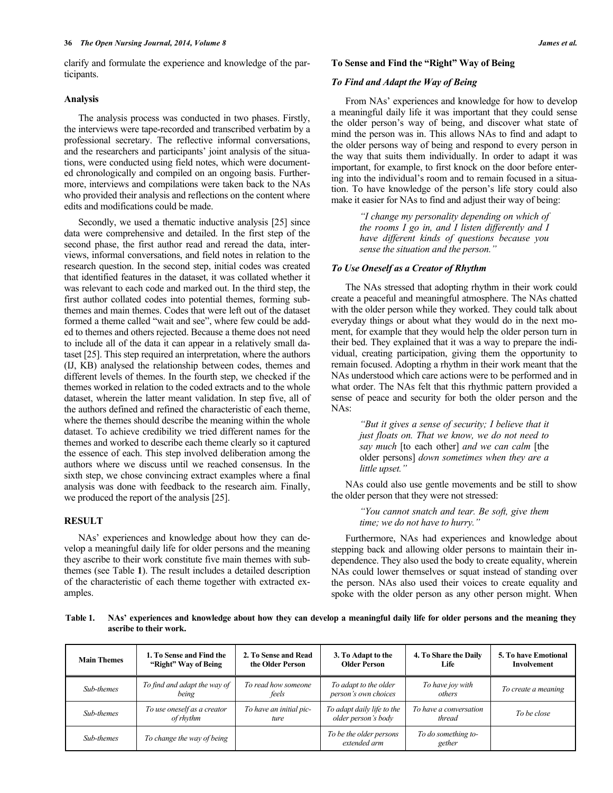clarify and formulate the experience and knowledge of the participants.

#### **Analysis**

The analysis process was conducted in two phases. Firstly, the interviews were tape-recorded and transcribed verbatim by a professional secretary. The reflective informal conversations, and the researchers and participants' joint analysis of the situations, were conducted using field notes, which were documented chronologically and compiled on an ongoing basis. Furthermore, interviews and compilations were taken back to the NAs who provided their analysis and reflections on the content where edits and modifications could be made.

Secondly, we used a thematic inductive analysis [25] since data were comprehensive and detailed. In the first step of the second phase, the first author read and reread the data, interviews, informal conversations, and field notes in relation to the research question. In the second step, initial codes was created that identified features in the dataset, it was collated whether it was relevant to each code and marked out. In the third step, the first author collated codes into potential themes, forming subthemes and main themes. Codes that were left out of the dataset formed a theme called "wait and see", where few could be added to themes and others rejected. Because a theme does not need to include all of the data it can appear in a relatively small dataset [25]. This step required an interpretation, where the authors (IJ, KB) analysed the relationship between codes, themes and different levels of themes. In the fourth step, we checked if the themes worked in relation to the coded extracts and to the whole dataset, wherein the latter meant validation. In step five, all of the authors defined and refined the characteristic of each theme, where the themes should describe the meaning within the whole dataset. To achieve credibility we tried different names for the themes and worked to describe each theme clearly so it captured the essence of each. This step involved deliberation among the authors where we discuss until we reached consensus. In the sixth step, we chose convincing extract examples where a final analysis was done with feedback to the research aim. Finally, we produced the report of the analysis [25].

#### **RESULT**

NAs' experiences and knowledge about how they can develop a meaningful daily life for older persons and the meaning they ascribe to their work constitute five main themes with subthemes (see Table **1**). The result includes a detailed description of the characteristic of each theme together with extracted examples.

#### **To Sense and Find the "Right" Way of Being**

#### *To Find and Adapt the Way of Being*

From NAs' experiences and knowledge for how to develop a meaningful daily life it was important that they could sense the older person's way of being, and discover what state of mind the person was in. This allows NAs to find and adapt to the older persons way of being and respond to every person in the way that suits them individually. In order to adapt it was important, for example, to first knock on the door before entering into the individual's room and to remain focused in a situation. To have knowledge of the person's life story could also make it easier for NAs to find and adjust their way of being:

> *"I change my personality depending on which of the rooms I go in, and I listen differently and I have different kinds of questions because you sense the situation and the person."*

#### *To Use Oneself as a Creator of Rhythm*

The NAs stressed that adopting rhythm in their work could create a peaceful and meaningful atmosphere. The NAs chatted with the older person while they worked. They could talk about everyday things or about what they would do in the next moment, for example that they would help the older person turn in their bed. They explained that it was a way to prepare the individual, creating participation, giving them the opportunity to remain focused. Adopting a rhythm in their work meant that the NAs understood which care actions were to be performed and in what order. The NAs felt that this rhythmic pattern provided a sense of peace and security for both the older person and the NAs:

> *"But it gives a sense of security; I believe that it just floats on. That we know, we do not need to say much* [to each other] *and we can calm* [the older persons] *down sometimes when they are a little upset."*

NAs could also use gentle movements and be still to show the older person that they were not stressed:

> *"You cannot snatch and tear. Be soft, give them time; we do not have to hurry."*

Furthermore, NAs had experiences and knowledge about stepping back and allowing older persons to maintain their independence. They also used the body to create equality, wherein NAs could lower themselves or squat instead of standing over the person. NAs also used their voices to create equality and spoke with the older person as any other person might. When

**Table 1. NAs' experiences and knowledge about how they can develop a meaningful daily life for older persons and the meaning they ascribe to their work.** 

| <b>Main Themes</b> | 1. To Sense and Find the<br>"Right" Way of Being | 2. To Sense and Read<br>the Older Person | 3. To Adapt to the<br><b>Older Person</b>         | 4. To Share the Daily<br>Life    | <b>5. To have Emotional</b><br>Involvement |
|--------------------|--------------------------------------------------|------------------------------------------|---------------------------------------------------|----------------------------------|--------------------------------------------|
| Sub-themes         | To find and adapt the way of<br>being            | To read how someone<br>feels             | To adapt to the older<br>person's own choices     | To have joy with<br>others       | To create a meaning                        |
| Sub-themes         | To use oneself as a creator<br>of rhythm         | To have an initial pic-<br>ture          | To adapt daily life to the<br>older person's body | To have a conversation<br>thread | To be close                                |
| Sub-themes         | To change the way of being                       |                                          | To be the older persons<br>extended arm           | To do something to-<br>gether    |                                            |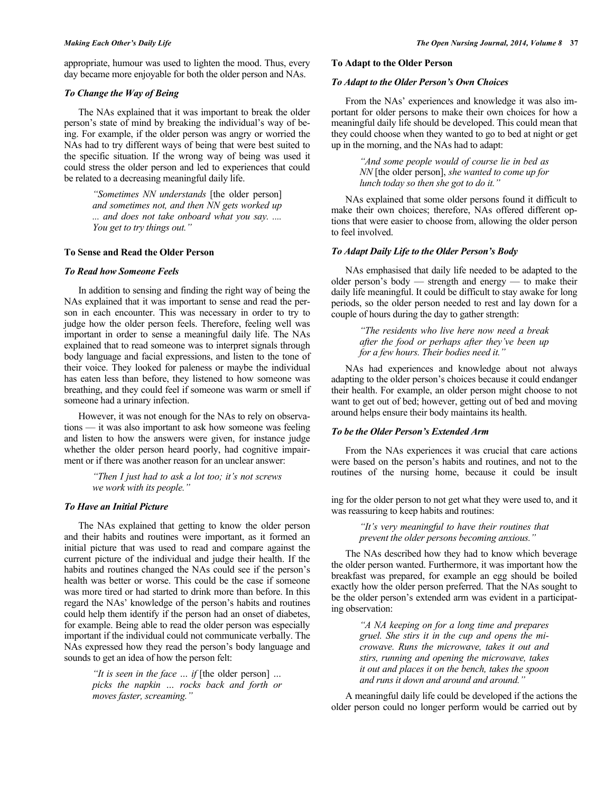appropriate, humour was used to lighten the mood. Thus, every day became more enjoyable for both the older person and NAs.

### *To Change the Way of Being*

The NAs explained that it was important to break the older person's state of mind by breaking the individual's way of being. For example, if the older person was angry or worried the NAs had to try different ways of being that were best suited to the specific situation. If the wrong way of being was used it could stress the older person and led to experiences that could be related to a decreasing meaningful daily life.

> *"Sometimes NN understands* [the older person] *and sometimes not, and then NN gets worked up ... and does not take onboard what you say. .... You get to try things out."*

#### **To Sense and Read the Older Person**

#### *To Read how Someone Feels*

In addition to sensing and finding the right way of being the NAs explained that it was important to sense and read the person in each encounter. This was necessary in order to try to judge how the older person feels. Therefore, feeling well was important in order to sense a meaningful daily life. The NAs explained that to read someone was to interpret signals through body language and facial expressions, and listen to the tone of their voice. They looked for paleness or maybe the individual has eaten less than before, they listened to how someone was breathing, and they could feel if someone was warm or smell if someone had a urinary infection.

However, it was not enough for the NAs to rely on observations — it was also important to ask how someone was feeling and listen to how the answers were given, for instance judge whether the older person heard poorly, had cognitive impairment or if there was another reason for an unclear answer:

> *"Then I just had to ask a lot too; it's not screws we work with its people."*

#### *To Have an Initial Picture*

The NAs explained that getting to know the older person and their habits and routines were important, as it formed an initial picture that was used to read and compare against the current picture of the individual and judge their health. If the habits and routines changed the NAs could see if the person's health was better or worse. This could be the case if someone was more tired or had started to drink more than before. In this regard the NAs' knowledge of the person's habits and routines could help them identify if the person had an onset of diabetes, for example. Being able to read the older person was especially important if the individual could not communicate verbally. The NAs expressed how they read the person's body language and sounds to get an idea of how the person felt:

> *"It is seen in the face … if* [the older person] *… picks the napkin … rocks back and forth or moves faster, screaming."*

### **To Adapt to the Older Person**

### *To Adapt to the Older Person's Own Choices*

From the NAs' experiences and knowledge it was also important for older persons to make their own choices for how a meaningful daily life should be developed. This could mean that they could choose when they wanted to go to bed at night or get up in the morning, and the NAs had to adapt:

> *"And some people would of course lie in bed as NN* [the older person], *she wanted to come up for lunch today so then she got to do it."*

NAs explained that some older persons found it difficult to make their own choices; therefore, NAs offered different options that were easier to choose from, allowing the older person to feel involved.

#### *To Adapt Daily Life to the Older Person's Body*

NAs emphasised that daily life needed to be adapted to the older person's body — strength and energy — to make their daily life meaningful. It could be difficult to stay awake for long periods, so the older person needed to rest and lay down for a couple of hours during the day to gather strength:

> *"The residents who live here now need a break after the food or perhaps after they've been up for a few hours. Their bodies need it."*

NAs had experiences and knowledge about not always adapting to the older person's choices because it could endanger their health. For example, an older person might choose to not want to get out of bed; however, getting out of bed and moving around helps ensure their body maintains its health.

#### *To be the Older Person's Extended Arm*

From the NAs experiences it was crucial that care actions were based on the person's habits and routines, and not to the routines of the nursing home, because it could be insult

ing for the older person to not get what they were used to, and it was reassuring to keep habits and routines:

> *"It's very meaningful to have their routines that prevent the older persons becoming anxious."*

The NAs described how they had to know which beverage the older person wanted. Furthermore, it was important how the breakfast was prepared, for example an egg should be boiled exactly how the older person preferred. That the NAs sought to be the older person's extended arm was evident in a participating observation:

> *"A NA keeping on for a long time and prepares gruel. She stirs it in the cup and opens the microwave. Runs the microwave, takes it out and stirs, running and opening the microwave, takes it out and places it on the bench, takes the spoon and runs it down and around and around."*

A meaningful daily life could be developed if the actions the older person could no longer perform would be carried out by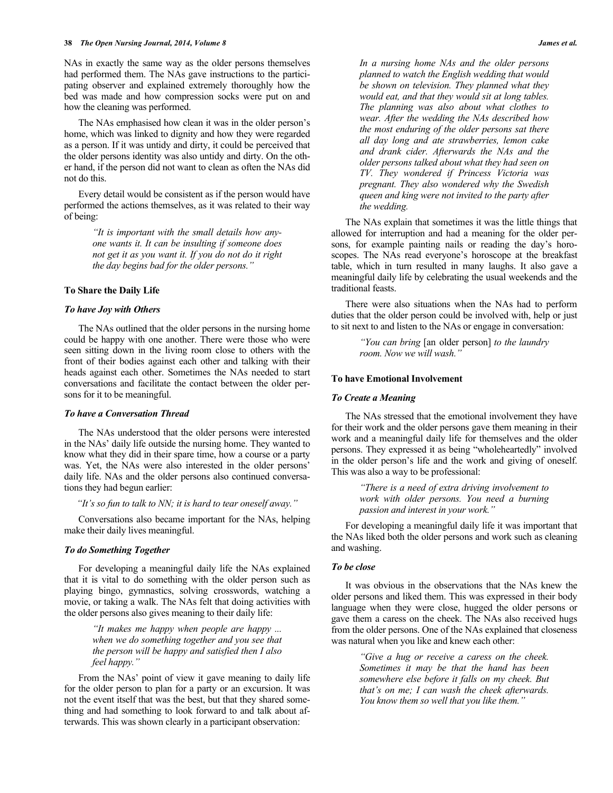NAs in exactly the same way as the older persons themselves had performed them. The NAs gave instructions to the participating observer and explained extremely thoroughly how the bed was made and how compression socks were put on and how the cleaning was performed.

The NAs emphasised how clean it was in the older person's home, which was linked to dignity and how they were regarded as a person. If it was untidy and dirty, it could be perceived that the older persons identity was also untidy and dirty. On the other hand, if the person did not want to clean as often the NAs did not do this.

Every detail would be consistent as if the person would have performed the actions themselves, as it was related to their way of being:

> *"It is important with the small details how anyone wants it. It can be insulting if someone does not get it as you want it. If you do not do it right the day begins bad for the older persons."*

#### **To Share the Daily Life**

#### *To have Joy with Others*

The NAs outlined that the older persons in the nursing home could be happy with one another. There were those who were seen sitting down in the living room close to others with the front of their bodies against each other and talking with their heads against each other. Sometimes the NAs needed to start conversations and facilitate the contact between the older persons for it to be meaningful.

#### *To have a Conversation Thread*

The NAs understood that the older persons were interested in the NAs' daily life outside the nursing home. They wanted to know what they did in their spare time, how a course or a party was. Yet, the NAs were also interested in the older persons' daily life. NAs and the older persons also continued conversations they had begun earlier:

*"It's so fun to talk to NN; it is hard to tear oneself away."*

Conversations also became important for the NAs, helping make their daily lives meaningful.

### *To do Something Together*

For developing a meaningful daily life the NAs explained that it is vital to do something with the older person such as playing bingo, gymnastics, solving crosswords, watching a movie, or taking a walk. The NAs felt that doing activities with the older persons also gives meaning to their daily life:

> *"It makes me happy when people are happy ... when we do something together and you see that the person will be happy and satisfied then I also feel happy."*

From the NAs' point of view it gave meaning to daily life for the older person to plan for a party or an excursion. It was not the event itself that was the best, but that they shared something and had something to look forward to and talk about afterwards. This was shown clearly in a participant observation:

*In a nursing home NAs and the older persons planned to watch the English wedding that would be shown on television. They planned what they would eat, and that they would sit at long tables. The planning was also about what clothes to wear. After the wedding the NAs described how the most enduring of the older persons sat there all day long and ate strawberries, lemon cake and drank cider. Afterwards the NAs and the older persons talked about what they had seen on TV. They wondered if Princess Victoria was pregnant. They also wondered why the Swedish queen and king were not invited to the party after the wedding.*

The NAs explain that sometimes it was the little things that allowed for interruption and had a meaning for the older persons, for example painting nails or reading the day's horoscopes. The NAs read everyone's horoscope at the breakfast table, which in turn resulted in many laughs. It also gave a meaningful daily life by celebrating the usual weekends and the traditional feasts.

There were also situations when the NAs had to perform duties that the older person could be involved with, help or just to sit next to and listen to the NAs or engage in conversation:

> *"You can bring* [an older person] *to the laundry room. Now we will wash."*

#### **To have Emotional Involvement**

#### *To Create a Meaning*

The NAs stressed that the emotional involvement they have for their work and the older persons gave them meaning in their work and a meaningful daily life for themselves and the older persons. They expressed it as being "wholeheartedly" involved in the older person's life and the work and giving of oneself. This was also a way to be professional:

> *"There is a need of extra driving involvement to work with older persons. You need a burning passion and interest in your work."*

For developing a meaningful daily life it was important that the NAs liked both the older persons and work such as cleaning and washing.

#### *To be close*

It was obvious in the observations that the NAs knew the older persons and liked them. This was expressed in their body language when they were close, hugged the older persons or gave them a caress on the cheek. The NAs also received hugs from the older persons. One of the NAs explained that closeness was natural when you like and knew each other:

> *"Give a hug or receive a caress on the cheek. Sometimes it may be that the hand has been somewhere else before it falls on my cheek. But that's on me; I can wash the cheek afterwards. You know them so well that you like them."*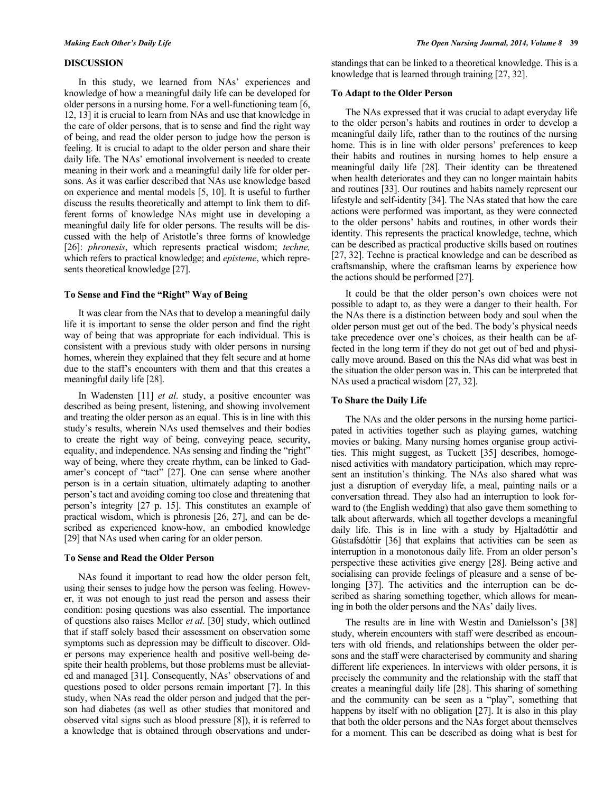### **DISCUSSION**

In this study, we learned from NAs' experiences and knowledge of how a meaningful daily life can be developed for older persons in a nursing home. For a well-functioning team [6, 12, 13] it is crucial to learn from NAs and use that knowledge in the care of older persons, that is to sense and find the right way of being, and read the older person to judge how the person is feeling. It is crucial to adapt to the older person and share their daily life. The NAs' emotional involvement is needed to create meaning in their work and a meaningful daily life for older persons. As it was earlier described that NAs use knowledge based on experience and mental models [5, 10]. It is useful to further discuss the results theoretically and attempt to link them to different forms of knowledge NAs might use in developing a meaningful daily life for older persons. The results will be discussed with the help of Aristotle's three forms of knowledge [26]: *phronesis*, which represents practical wisdom; *techne,* which refers to practical knowledge; and *episteme*, which represents theoretical knowledge [27].

## **To Sense and Find the "Right" Way of Being**

It was clear from the NAs that to develop a meaningful daily life it is important to sense the older person and find the right way of being that was appropriate for each individual. This is consistent with a previous study with older persons in nursing homes, wherein they explained that they felt secure and at home due to the staff's encounters with them and that this creates a meaningful daily life [28].

In Wadensten [11] *et al*. study, a positive encounter was described as being present, listening, and showing involvement and treating the older person as an equal. This is in line with this study's results, wherein NAs used themselves and their bodies to create the right way of being, conveying peace*,* security, equality, and independence. NAs sensing and finding the "right" way of being, where they create rhythm, can be linked to Gadamer's concept of "tact" [27]. One can sense where another person is in a certain situation, ultimately adapting to another person's tact and avoiding coming too close and threatening that person's integrity [27 p. 15]. This constitutes an example of practical wisdom, which is phronesis [26, 27], and can be described as experienced know-how, an embodied knowledge [29] that NAs used when caring for an older person.

#### **To Sense and Read the Older Person**

NAs found it important to read how the older person felt, using their senses to judge how the person was feeling. However, it was not enough to just read the person and assess their condition: posing questions was also essential. The importance of questions also raises Mellor *et al*. [30] study, which outlined that if staff solely based their assessment on observation some symptoms such as depression may be difficult to discover. Older persons may experience health and positive well-being despite their health problems, but those problems must be alleviated and managed [31]. Consequently, NAs' observations of and questions posed to older persons remain important [7]. In this study, when NAs read the older person and judged that the person had diabetes (as well as other studies that monitored and observed vital signs such as blood pressure [8]), it is referred to a knowledge that is obtained through observations and understandings that can be linked to a theoretical knowledge. This is a knowledge that is learned through training [27, 32].

#### **To Adapt to the Older Person**

The NAs expressed that it was crucial to adapt everyday life to the older person's habits and routines in order to develop a meaningful daily life, rather than to the routines of the nursing home. This is in line with older persons' preferences to keep their habits and routines in nursing homes to help ensure a meaningful daily life [28]. Their identity can be threatened when health deteriorates and they can no longer maintain habits and routines [33]. Our routines and habits namely represent our lifestyle and self-identity [34]. The NAs stated that how the care actions were performed was important, as they were connected to the older persons' habits and routines, in other words their identity. This represents the practical knowledge, techne, which can be described as practical productive skills based on routines [27, 32]. Techne is practical knowledge and can be described as craftsmanship, where the craftsman learns by experience how the actions should be performed [27].

It could be that the older person's own choices were not possible to adapt to, as they were a danger to their health. For the NAs there is a distinction between body and soul when the older person must get out of the bed. The body's physical needs take precedence over one's choices, as their health can be affected in the long term if they do not get out of bed and physically move around. Based on this the NAs did what was best in the situation the older person was in. This can be interpreted that NAs used a practical wisdom [27, 32].

#### **To Share the Daily Life**

The NAs and the older persons in the nursing home participated in activities together such as playing games, watching movies or baking. Many nursing homes organise group activities. This might suggest, as Tuckett [35] describes, homogenised activities with mandatory participation, which may represent an institution's thinking. The NAs also shared what was just a disruption of everyday life, a meal, painting nails or a conversation thread. They also had an interruption to look forward to (the English wedding) that also gave them something to talk about afterwards, which all together develops a meaningful daily life. This is in line with a study by Hjaltadóttir and Gústafsdóttir [36] that explains that activities can be seen as interruption in a monotonous daily life. From an older person's perspective these activities give energy [28]. Being active and socialising can provide feelings of pleasure and a sense of belonging [37]. The activities and the interruption can be described as sharing something together, which allows for meaning in both the older persons and the NAs' daily lives.

The results are in line with Westin and Danielsson's [38] study, wherein encounters with staff were described as encounters with old friends, and relationships between the older persons and the staff were characterised by community and sharing different life experiences. In interviews with older persons, it is precisely the community and the relationship with the staff that creates a meaningful daily life [28]. This sharing of something and the community can be seen as a "play", something that happens by itself with no obligation [27]. It is also in this play that both the older persons and the NAs forget about themselves for a moment. This can be described as doing what is best for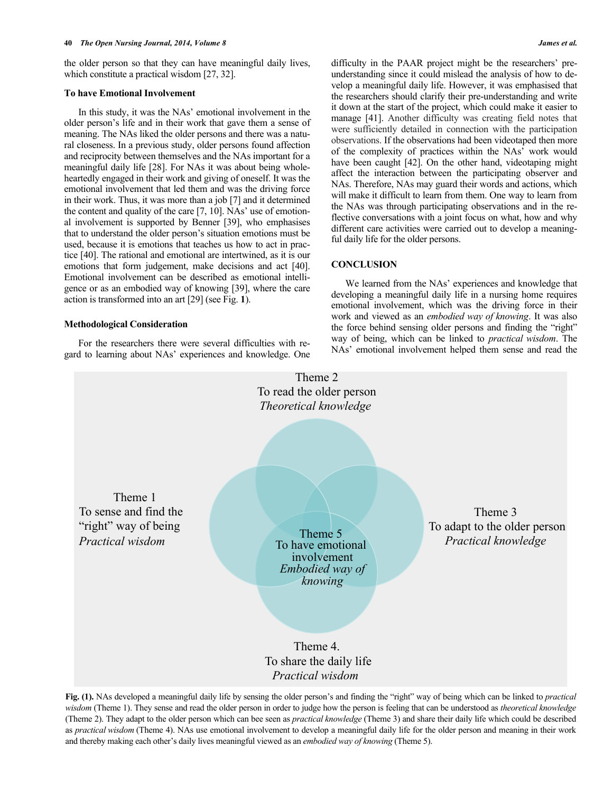the older person so that they can have meaningful daily lives, which constitute a practical wisdom [27, 32].

#### **To have Emotional Involvement**

In this study, it was the NAs' emotional involvement in the older person's life and in their work that gave them a sense of meaning. The NAs liked the older persons and there was a natural closeness. In a previous study, older persons found affection and reciprocity between themselves and the NAs important for a meaningful daily life [28]. For NAs it was about being wholeheartedly engaged in their work and giving of oneself. It was the emotional involvement that led them and was the driving force in their work. Thus, it was more than a job [7] and it determined the content and quality of the care [7, 10]. NAs' use of emotional involvement is supported by Benner [39], who emphasises that to understand the older person's situation emotions must be used, because it is emotions that teaches us how to act in practice [40]. The rational and emotional are intertwined, as it is our emotions that form judgement, make decisions and act [40]. Emotional involvement can be described as emotional intelligence or as an embodied way of knowing [39], where the care action is transformed into an art [29] (see Fig. **1**).

#### **Methodological Consideration**

For the researchers there were several difficulties with regard to learning about NAs' experiences and knowledge. One difficulty in the PAAR project might be the researchers' preunderstanding since it could mislead the analysis of how to develop a meaningful daily life. However, it was emphasised that the researchers should clarify their pre-understanding and write it down at the start of the project, which could make it easier to manage [41]. Another difficulty was creating field notes that were sufficiently detailed in connection with the participation observations. If the observations had been videotaped then more of the complexity of practices within the NAs' work would have been caught [42]. On the other hand, videotaping might affect the interaction between the participating observer and NAs. Therefore, NAs may guard their words and actions, which will make it difficult to learn from them. One way to learn from the NAs was through participating observations and in the reflective conversations with a joint focus on what, how and why different care activities were carried out to develop a meaningful daily life for the older persons.

#### **CONCLUSION**

We learned from the NAs' experiences and knowledge that developing a meaningful daily life in a nursing home requires emotional involvement, which was the driving force in their work and viewed as an *embodied way of knowing*. It was also the force behind sensing older persons and finding the "right" way of being, which can be linked to *practical wisdom*. The NAs' emotional involvement helped them sense and read the



**Fig. (1).** NAs developed a meaningful daily life by sensing the older person's and finding the "right" way of being which can be linked to *practical wisdom* (Theme 1). They sense and read the older person in order to judge how the person is feeling that can be understood as *theoretical knowledge* (Theme 2). They adapt to the older person which can bee seen as *practical knowledge* (Theme 3) and share their daily life which could be described as *practical wisdom* (Theme 4). NAs use emotional involvement to develop a meaningful daily life for the older person and meaning in their work and thereby making each other's daily lives meaningful viewed as an *embodied way of knowing* (Theme 5).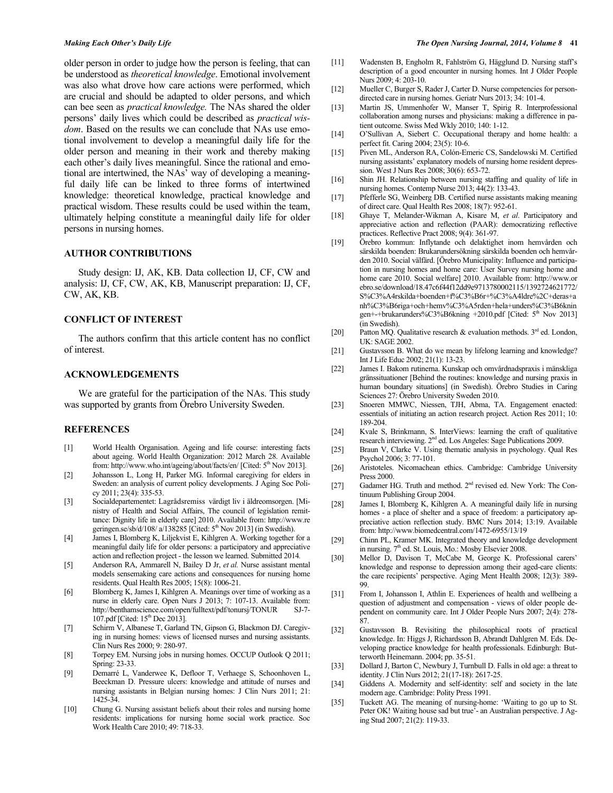older person in order to judge how the person is feeling, that can be understood as *theoretical knowledge*. Emotional involvement was also what drove how care actions were performed, which are crucial and should be adapted to older persons, and which can bee seen as *practical knowledge.* The NAs shared the older persons' daily lives which could be described as *practical wisdom*. Based on the results we can conclude that NAs use emotional involvement to develop a meaningful daily life for the older person and meaning in their work and thereby making each other's daily lives meaningful. Since the rational and emotional are intertwined, the NAs' way of developing a meaningful daily life can be linked to three forms of intertwined knowledge: theoretical knowledge, practical knowledge and practical wisdom. These results could be used within the team, ultimately helping constitute a meaningful daily life for older persons in nursing homes.

#### **AUTHOR CONTRIBUTIONS**

Study design: IJ, AK, KB. Data collection IJ, CF, CW and analysis: IJ, CF, CW, AK, KB, Manuscript preparation: IJ, CF, CW, AK, KB.

#### **CONFLICT OF INTEREST**

The authors confirm that this article content has no conflict of interest.

#### **ACKNOWLEDGEMENTS**

We are grateful for the participation of the NAs. This study was supported by grants from Örebro University Sweden.

#### **REFERENCES**

- [1] World Health Organisation. Ageing and life course: interesting facts about ageing. World Health Organization: 2012 March 28. Available from: http://www.who.int/ageing/about/facts/en/ [Cited: 5<sup>th</sup> Nov 2013].
- [2] Johansson L, Long H, Parker MG. Informal caregiving for elders in Sweden: an analysis of current policy developments. J Aging Soc Policy 2011; 23(4): 335-53.
- [3] Socialdepartementet: Lagrådsremiss värdigt liv i äldreomsorgen. [Ministry of Health and Social Affairs, The council of legislation remittance: Dignity life in elderly care] 2010. Available from: http://www.re geringen.se/sb/d/108/ a/138285 [Cited: 5<sup>th</sup> Nov 2013] (in Swedish).
- [4] James I, Blomberg K, Liljekvist E, Kihlgren A. Working together for a meaningful daily life for older persons: a participatory and appreciative action and reflection project - the lesson we learned. Submitted 2014*.*
- [5] Anderson RA, Ammarell N, Bailey D Jr, *et al.* Nurse assistant mental models sensemaking care actions and consequences for nursing home residents. Qual Health Res 2005; 15(8): 1006-21.
- [6] Blomberg K, James I, Kihlgren A. Meanings over time of working as a nurse in elderly care. Open Nurs J 2013; 7: 107-13. Available from: http://benthamscience.com/open/fulltext/pdf/tonursj/TONUR SJ-7- 107.pdf [Cited: 15<sup>th</sup> Dec 2013].
- [7] Schirm V, Albanese T, Garland TN, Gipson G, Blackmon DJ. Caregiving in nursing homes: views of licensed nurses and nursing assistants. Clin Nurs Res 2000; 9: 280-97.
- [8] Torpey EM. Nursing jobs in nursing homes. OCCUP Outlook Q 2011; Spring: 23-33.
- [9] Demarré L, Vanderwee K, Defloor T, Verhaege S, Schoonhoven L, Beeckman D. Pressure ulcers: knowledge and attitude of nurses and nursing assistants in Belgian nursing homes: J Clin Nurs 2011; 21: 1425-34.
- [10] Chung G. Nursing assistant beliefs about their roles and nursing home residents: implications for nursing home social work practice. Soc Work Health Care 2010; 49: 718-33.
- [11] Wadensten B, Engholm R, Fahlström G, Hägglund D. Nursing staff's description of a good encounter in nursing homes. Int J Older People Nurs 2009; 4: 203-10.
- [12] Mueller C, Burger S, Rader J, Carter D. Nurse competencies for persondirected care in nursing homes. Geriatr Nurs 2013; 34: 101-4.
- [13] Martin JS, Ummenhofer W, Manser T, Spirig R. Interprofessional collaboration among nurses and physicians: making a difference in patient outcome. Swiss Med Wkly 2010; 140: 1-12.
- [14] O'Sullivan A, Siebert C. Occupational therapy and home health: a perfect fit. Caring 2004; 23(5): 10-6.
- [15] Piven ML, Anderson RA, Colón-Emeric CS, Sandelowski M. Certified nursing assistants' explanatory models of nursing home resident depression. West J Nurs Res 2008; 30(6): 653-72.
- [16] Shin JH. Relationship between nursing staffing and quality of life in nursing homes. Contemp Nurse 2013; 44(2): 133-43.
- [17] Pfefferle SG, Weinberg DB. Certified nurse assistants making meaning of direct care. Qual Health Res 2008; 18(7): 952-61.
- [18] Ghaye T, Melander-Wikman A, Kisare M, *et al*. Participatory and appreciative action and reflection (PAAR): democratizing reflective practices. Reflective Pract 2008; 9(4): 361-97.
- [19] Örebro kommun: Inflytande och delaktighet inom hemvården och särskilda boenden: Brukarundersökning särskilda boenden och hemvården 2010. Social välfärd. [Örebro Municipality: Influence and participation in nursing homes and home care: User Survey nursing home and home care 2010. Social welfare] 2010. Available from: http://www.or ebro.se/download/18.47c6f44f12dd9e9713780002115/1392724621772/ S%C3%A4rskilda+boenden+f%C3%B6r+%C3%A4ldre%2C+deras+a nh%C3%B6riga+och+hemv%C3%A5rden+hela+unders%C3%B6knin gen+-+brukarunders%C3%B6kning +2010.pdf [Cited: 5<sup>th</sup> Nov 2013] (in Swedish).
- [20] Patton MO. Qualitative research  $\&$  evaluation methods.  $3<sup>rd</sup>$  ed. London, UK: SAGE 2002.
- [21] Gustavsson B. What do we mean by lifelong learning and knowledge? Int J Life Educ 2002; 21(1): 13-23.
- [22] James I. Bakom rutinerna. Kunskap och omvårdnadspraxis i mänskliga gränssituationer [Behind the routines: knowledge and nursing praxis in human boundary situations] (in Swedish). Örebro Studies in Caring Sciences 27: Örebro University Sweden 2010.
- [23] Snoeren MMWC, Niessen, TJH, Abma, TA. Engagement enacted: essentials of initiating an action research project. Action Res 2011; 10: 189-204.
- [24] Kvale S, Brinkmann, S. InterViews: learning the craft of qualitative research interviewing. 2<sup>nd</sup> ed. Los Angeles: Sage Publications 2009.
- [25] Braun V, Clarke V. Using thematic analysis in psychology. Qual Res Psychol 2006; 3: 77-101.
- [26] Aristoteles. Nicomachean ethics. Cambridge: Cambridge University Press 2000.
- [27] Gadamer HG. Truth and method. 2<sup>nd</sup> revised ed. New York: The Continuum Publishing Group 2004.
- [28] James I, Blomberg K, Kihlgren A. A meaningful daily life in nursing homes - a place of shelter and a space of freedom: a participatory appreciative action reflection study. BMC Nurs 2014; 13:19. Available from: http://www.biomedcentral.com/1472-6955/13/19
- [29] Chinn PL, Kramer MK. Integrated theory and knowledge development in nursing.  $7<sup>th</sup>$  ed. St. Louis, Mo.: Mosby Elsevier 2008.
- [30] Mellor D, Davison T, McCabe M, George K. Professional carers' knowledge and response to depression among their aged-care clients: the care recipients' perspective. Aging Ment Health 2008; 12(3): 389- 99.
- [31] From I, Johansson I, Athlin E. Experiences of health and wellbeing a question of adjustment and compensation - views of older people dependent on community care. Int J Older People Nurs 2007; 2(4): 278- 87.
- [32] Gustavsson B. Revisiting the philosophical roots of practical knowledge. In: Higgs J, Richardsson B, Abrandt Dahlgren M. Eds. Developing practice knowledge for health professionals. Edinburgh: Butterworth Heinemann. 2004; pp. 35-51.
- [33] Dollard J, Barton C, Newbury J, Turnbull D. Falls in old age: a threat to identity. J Clin Nurs 2012; 21(17-18): 2617-25.
- [34] Giddens A. Modernity and self-identity: self and society in the late modern age. Cambridge: Polity Press 1991.
- [35] Tuckett AG. The meaning of nursing-home: 'Waiting to go up to St. Peter OK! Waiting house sad but true'- an Australian perspective. J Aging Stud 2007; 21(2): 119-33.